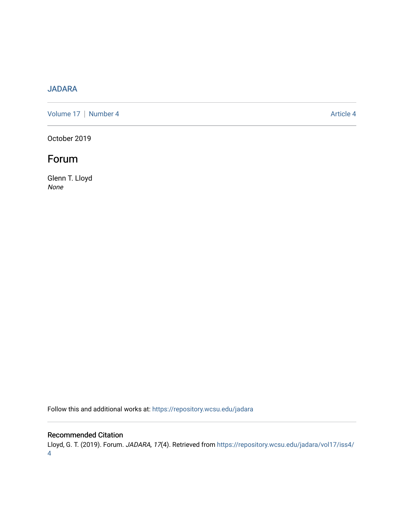### [JADARA](https://repository.wcsu.edu/jadara)

[Volume 17](https://repository.wcsu.edu/jadara/vol17) | [Number 4](https://repository.wcsu.edu/jadara/vol17/iss4) Article 4

October 2019

## Forum

Glenn T. Lloyd None

Follow this and additional works at: [https://repository.wcsu.edu/jadara](https://repository.wcsu.edu/jadara?utm_source=repository.wcsu.edu%2Fjadara%2Fvol17%2Fiss4%2F4&utm_medium=PDF&utm_campaign=PDFCoverPages)

### Recommended Citation

Lloyd, G. T. (2019). Forum. JADARA, 17(4). Retrieved from [https://repository.wcsu.edu/jadara/vol17/iss4/](https://repository.wcsu.edu/jadara/vol17/iss4/4?utm_source=repository.wcsu.edu%2Fjadara%2Fvol17%2Fiss4%2F4&utm_medium=PDF&utm_campaign=PDFCoverPages) [4](https://repository.wcsu.edu/jadara/vol17/iss4/4?utm_source=repository.wcsu.edu%2Fjadara%2Fvol17%2Fiss4%2F4&utm_medium=PDF&utm_campaign=PDFCoverPages)